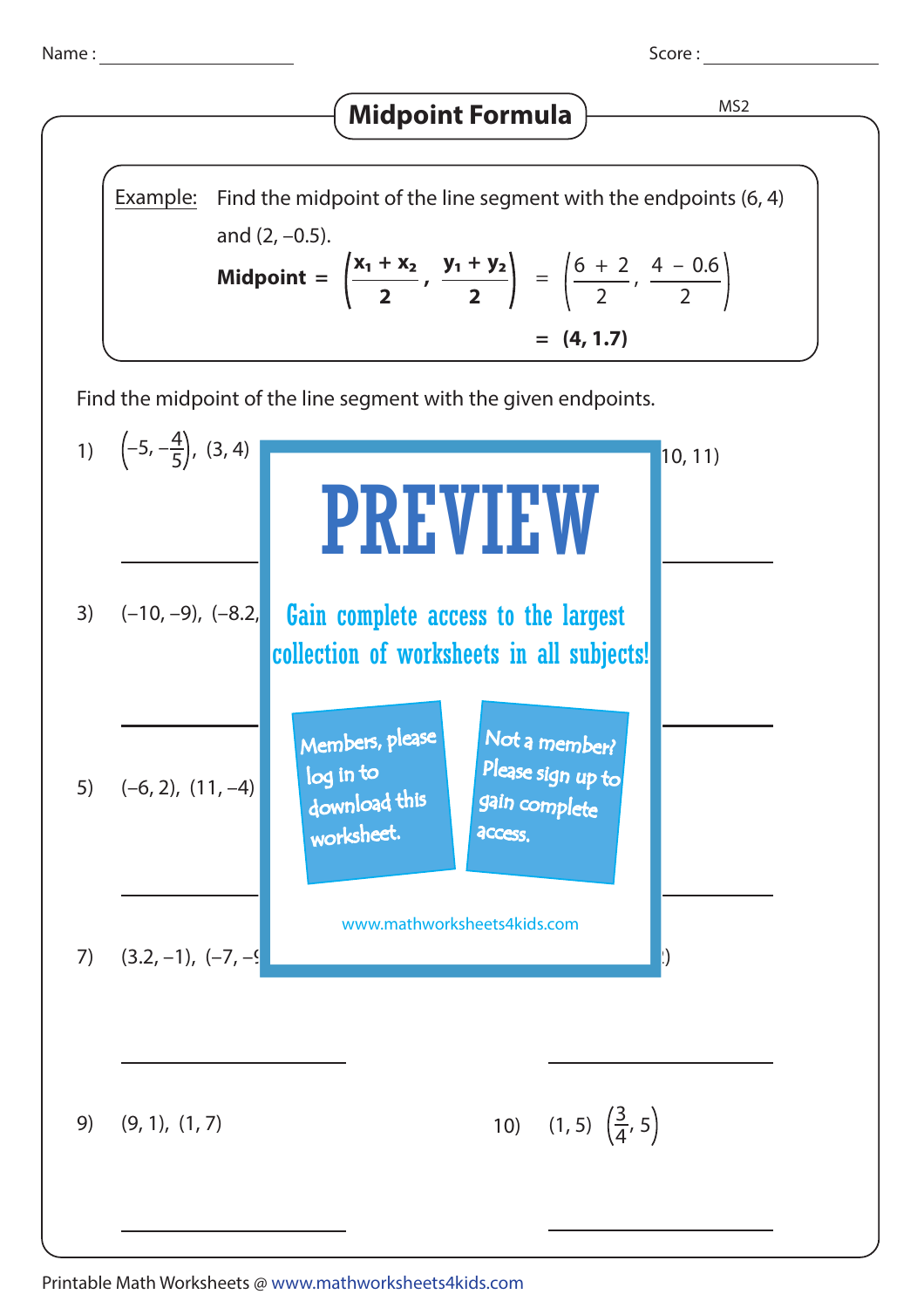